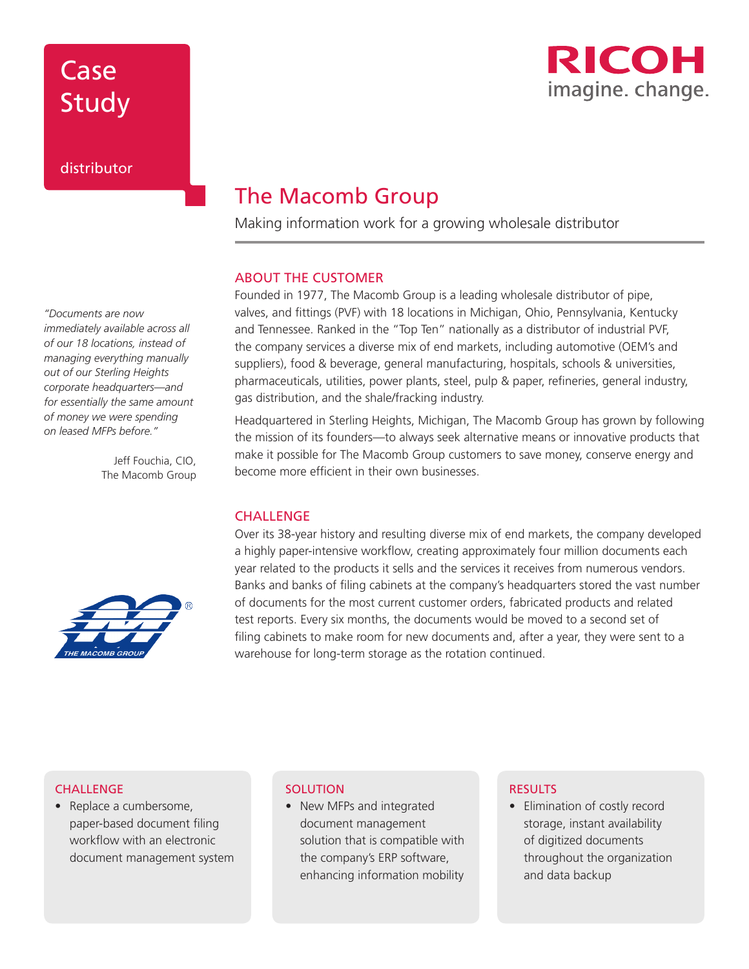# Case Study



### distributor

### The Macomb Group

Making information work for a growing wholesale distributor

#### ABOUT THE CUSTOMER

Founded in 1977, The Macomb Group is a leading wholesale distributor of pipe, valves, and fittings (PVF) with 18 locations in Michigan, Ohio, Pennsylvania, Kentucky and Tennessee. Ranked in the "Top Ten" nationally as a distributor of industrial PVF, the company services a diverse mix of end markets, including automotive (OEM's and suppliers), food & beverage, general manufacturing, hospitals, schools & universities, pharmaceuticals, utilities, power plants, steel, pulp & paper, refineries, general industry, gas distribution, and the shale/fracking industry.

Headquartered in Sterling Heights, Michigan, The Macomb Group has grown by following the mission of its founders—to always seek alternative means or innovative products that make it possible for The Macomb Group customers to save money, conserve energy and become more efficient in their own businesses.

#### **CHALLENGE**

Over its 38-year history and resulting diverse mix of end markets, the company developed a highly paper-intensive workflow, creating approximately four million documents each year related to the products it sells and the services it receives from numerous vendors. Banks and banks of filing cabinets at the company's headquarters stored the vast number of documents for the most current customer orders, fabricated products and related test reports. Every six months, the documents would be moved to a second set of filing cabinets to make room for new documents and, after a year, they were sent to a warehouse for long-term storage as the rotation continued.

### *"Documents are now*

*immediately available across all of our 18 locations, instead of managing everything manually out of our Sterling Heights corporate headquarters—and for essentially the same amount of money we were spending on leased MFPs before."* 

> Jeff Fouchia, CIO, The Macomb Group



#### **CHALLENGE**

• Replace a cumbersome, paper-based document filing workflow with an electronic document management system

#### **SOLUTION**

• New MFPs and integrated document management solution that is compatible with the company's ERP software, enhancing information mobility

#### **RESULTS**

• Elimination of costly record storage, instant availability of digitized documents throughout the organization and data backup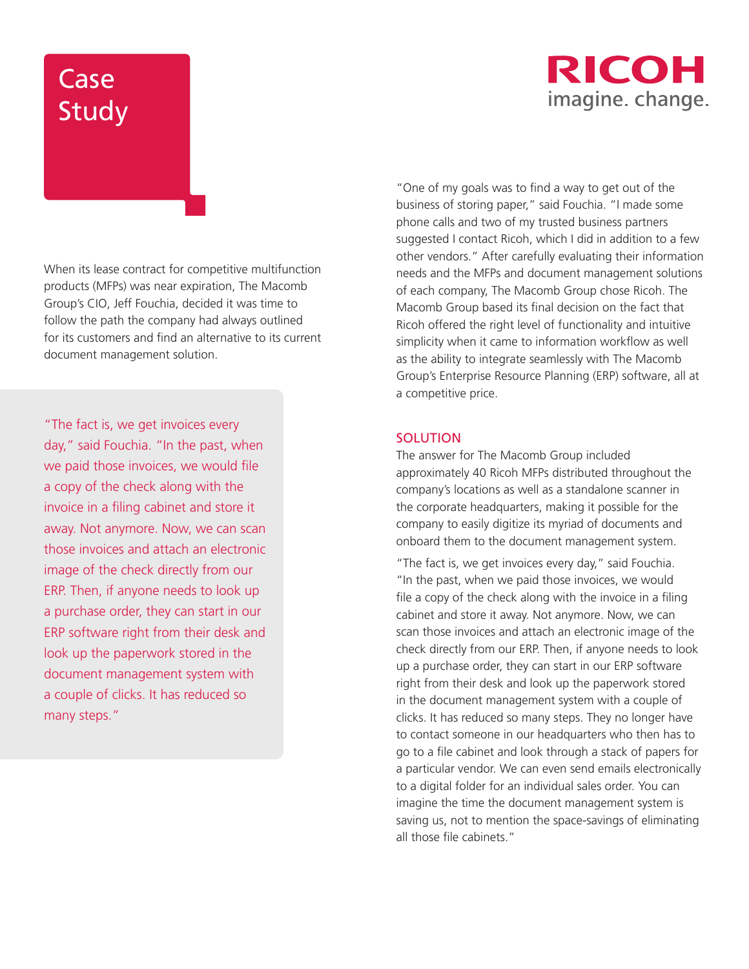## **RICOH** imagine. change.

# Case Study

When its lease contract for competitive multifunction products (MFPs) was near expiration, The Macomb Group's CIO, Jeff Fouchia, decided it was time to follow the path the company had always outlined for its customers and find an alternative to its current document management solution.

"The fact is, we get invoices every day," said Fouchia. "In the past, when we paid those invoices, we would file a copy of the check along with the invoice in a filing cabinet and store it away. Not anymore. Now, we can scan those invoices and attach an electronic image of the check directly from our ERP. Then, if anyone needs to look up a purchase order, they can start in our ERP software right from their desk and look up the paperwork stored in the document management system with a couple of clicks. It has reduced so many steps."

"One of my goals was to find a way to get out of the business of storing paper," said Fouchia. "I made some phone calls and two of my trusted business partners suggested I contact Ricoh, which I did in addition to a few other vendors." After carefully evaluating their information needs and the MFPs and document management solutions of each company, The Macomb Group chose Ricoh. The Macomb Group based its final decision on the fact that Ricoh offered the right level of functionality and intuitive simplicity when it came to information workflow as well as the ability to integrate seamlessly with The Macomb Group's Enterprise Resource Planning (ERP) software, all at a competitive price.

#### **SOLUTION**

The answer for The Macomb Group included approximately 40 Ricoh MFPs distributed throughout the company's locations as well as a standalone scanner in the corporate headquarters, making it possible for the company to easily digitize its myriad of documents and onboard them to the document management system.

"The fact is, we get invoices every day," said Fouchia. "In the past, when we paid those invoices, we would file a copy of the check along with the invoice in a filing cabinet and store it away. Not anymore. Now, we can scan those invoices and attach an electronic image of the check directly from our ERP. Then, if anyone needs to look up a purchase order, they can start in our ERP software right from their desk and look up the paperwork stored in the document management system with a couple of clicks. It has reduced so many steps. They no longer have to contact someone in our headquarters who then has to go to a file cabinet and look through a stack of papers for a particular vendor. We can even send emails electronically to a digital folder for an individual sales order. You can imagine the time the document management system is saving us, not to mention the space-savings of eliminating all those file cabinets."